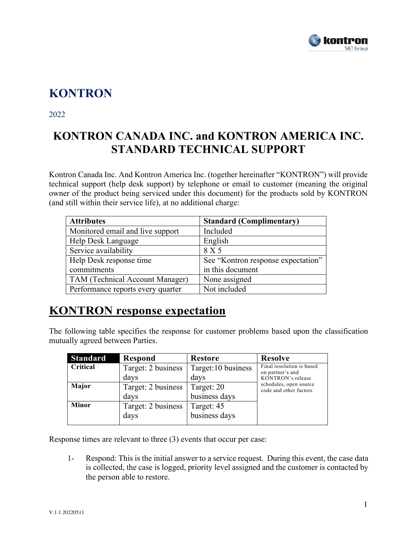

## **KONTRON**

2022

## **KONTRON CANADA INC. and KONTRON AMERICA INC. STANDARD TECHNICAL SUPPORT**

Kontron Canada Inc. And Kontron America Inc. (together hereinafter "KONTRON") will provide technical support (help desk support) by telephone or email to customer (meaning the original owner of the product being serviced under this document) for the products sold by KONTRON (and still within their service life), at no additional charge:

| <b>Attributes</b>                 | <b>Standard (Complimentary)</b>    |
|-----------------------------------|------------------------------------|
| Monitored email and live support  | Included                           |
| Help Desk Language                | English                            |
| Service availability              | 8 X 5                              |
| Help Desk response time           | See "Kontron response expectation" |
| commitments                       | in this document                   |
| TAM (Technical Account Manager)   | None assigned                      |
| Performance reports every quarter | Not included                       |

#### **KONTRON response expectation**

The following table specifies the response for customer problems based upon the classification mutually agreed between Parties.

| <b>Standard</b> | <b>Respond</b>     | <b>Restore</b>     | <b>Resolve</b>                                   |
|-----------------|--------------------|--------------------|--------------------------------------------------|
| Critical        | Target: 2 business | Target:10 business | Final resolution is based<br>on partner's and    |
|                 | days               | days               | KONTRON's release                                |
| Major           | Target: 2 business | Target: 20         | schedules, open source<br>code and other factors |
|                 | days               | business days      |                                                  |
| <b>Minor</b>    | Target: 2 business | Target: 45         |                                                  |
|                 | days               | business days      |                                                  |

Response times are relevant to three (3) events that occur per case:

1- Respond: This is the initial answer to a service request. During this event, the case data is collected, the case is logged, priority level assigned and the customer is contacted by the person able to restore.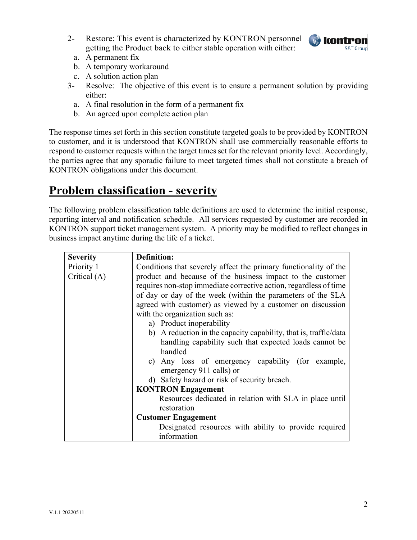2- Restore: This event is characterized by KONTRON personnel getting the Product back to either stable operation with either:



- a. A permanent fix
- b. A temporary workaround
- c. A solution action plan
- 3- Resolve: The objective of this event is to ensure a permanent solution by providing either:
	- a. A final resolution in the form of a permanent fix
	- b. An agreed upon complete action plan

The response times set forth in this section constitute targeted goals to be provided by KONTRON to customer, and it is understood that KONTRON shall use commercially reasonable efforts to respond to customer requests within the target times set for the relevant priority level. Accordingly, the parties agree that any sporadic failure to meet targeted times shall not constitute a breach of KONTRON obligations under this document.

#### **Problem classification - severity**

The following problem classification table definitions are used to determine the initial response, reporting interval and notification schedule. All services requested by customer are recorded in KONTRON support ticket management system. A priority may be modified to reflect changes in business impact anytime during the life of a ticket.

| <b>Severity</b> | <b>Definition:</b>                                                |  |
|-----------------|-------------------------------------------------------------------|--|
| Priority 1      | Conditions that severely affect the primary functionality of the  |  |
| Critical (A)    | product and because of the business impact to the customer        |  |
|                 | requires non-stop immediate corrective action, regardless of time |  |
|                 | of day or day of the week (within the parameters of the SLA       |  |
|                 | agreed with customer) as viewed by a customer on discussion       |  |
|                 | with the organization such as:                                    |  |
|                 | a) Product inoperability                                          |  |
|                 | b) A reduction in the capacity capability, that is, traffic/data  |  |
|                 | handling capability such that expected loads cannot be            |  |
|                 | handled                                                           |  |
|                 | c) Any loss of emergency capability (for example,                 |  |
|                 | emergency 911 calls) or                                           |  |
|                 | d) Safety hazard or risk of security breach.                      |  |
|                 | <b>KONTRON Engagement</b>                                         |  |
|                 | Resources dedicated in relation with SLA in place until           |  |
|                 | restoration                                                       |  |
|                 | <b>Customer Engagement</b>                                        |  |
|                 | Designated resources with ability to provide required             |  |
|                 | information                                                       |  |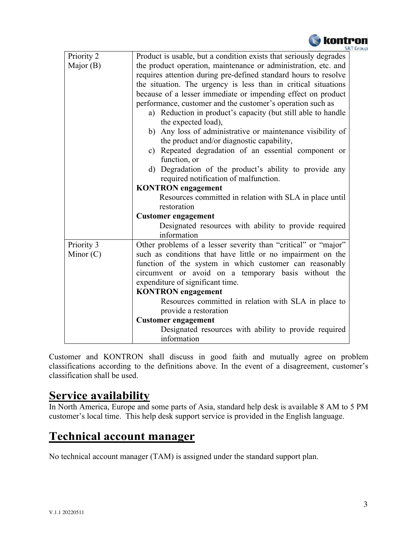

| Priority 2  | Product is usable, but a condition exists that seriously degrades |  |  |
|-------------|-------------------------------------------------------------------|--|--|
| Major $(B)$ | the product operation, maintenance or administration, etc. and    |  |  |
|             | requires attention during pre-defined standard hours to resolve   |  |  |
|             | the situation. The urgency is less than in critical situations    |  |  |
|             | because of a lesser immediate or impending effect on product      |  |  |
|             | performance, customer and the customer's operation such as        |  |  |
|             | a) Reduction in product's capacity (but still able to handle      |  |  |
|             | the expected load),                                               |  |  |
|             | b) Any loss of administrative or maintenance visibility of        |  |  |
|             | the product and/or diagnostic capability,                         |  |  |
|             | c) Repeated degradation of an essential component or              |  |  |
|             | function, or                                                      |  |  |
|             | d) Degradation of the product's ability to provide any            |  |  |
|             | required notification of malfunction.                             |  |  |
|             | <b>KONTRON</b> engagement                                         |  |  |
|             | Resources committed in relation with SLA in place until           |  |  |
|             | restoration                                                       |  |  |
|             | <b>Customer engagement</b>                                        |  |  |
|             | Designated resources with ability to provide required             |  |  |
|             | information                                                       |  |  |
| Priority 3  | Other problems of a lesser severity than "critical" or "major"    |  |  |
| Minor $(C)$ | such as conditions that have little or no impairment on the       |  |  |
|             | function of the system in which customer can reasonably           |  |  |
|             | circumvent or avoid on a temporary basis without the              |  |  |
|             | expenditure of significant time.<br><b>KONTRON</b> engagement     |  |  |
|             |                                                                   |  |  |
|             | Resources committed in relation with SLA in place to              |  |  |
|             | provide a restoration<br><b>Customer engagement</b>               |  |  |
|             |                                                                   |  |  |
|             | Designated resources with ability to provide required             |  |  |
|             | information                                                       |  |  |

Customer and KONTRON shall discuss in good faith and mutually agree on problem classifications according to the definitions above. In the event of a disagreement, customer's classification shall be used.

#### **Service availability**

In North America, Europe and some parts of Asia, standard help desk is available 8 AM to 5 PM customer's local time. This help desk support service is provided in the English language.

### **Technical account manager**

No technical account manager (TAM) is assigned under the standard support plan.